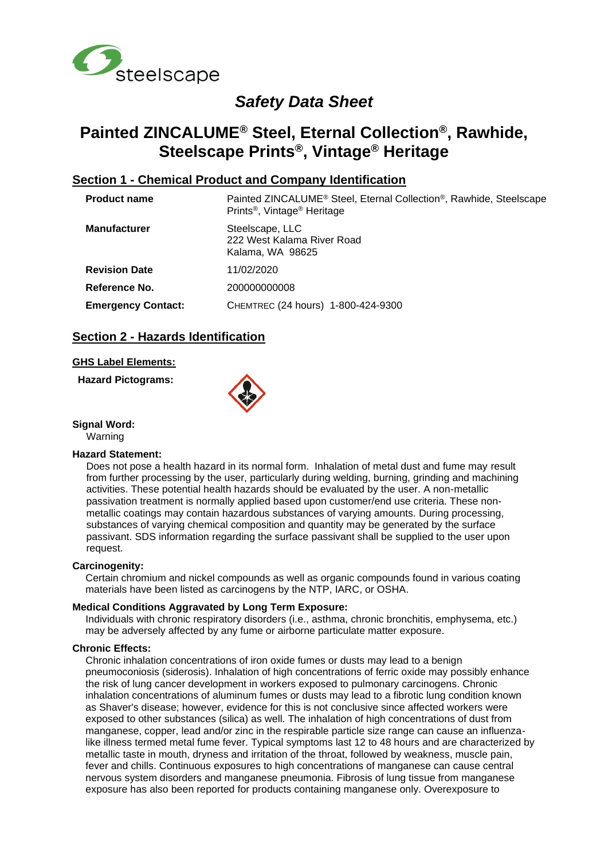

# *Safety Data Sheet*

# **Painted ZINCALUME® Steel, Eternal Collection®, Rawhide, Steelscape Prints®, Vintage® Heritage**

## **Section 1 - Chemical Product and Company Identification**

| <b>Product name</b>       | Painted ZINCALUME <sup>®</sup> Steel, Eternal Collection <sup>®</sup> , Rawhide, Steelscape<br>Prints <sup>®</sup> , Vintage <sup>®</sup> Heritage |
|---------------------------|----------------------------------------------------------------------------------------------------------------------------------------------------|
| <b>Manufacturer</b>       | Steelscape, LLC<br>222 West Kalama River Road<br>Kalama, WA 98625                                                                                  |
| <b>Revision Date</b>      | 11/02/2020                                                                                                                                         |
| Reference No.             | 200000000008                                                                                                                                       |
| <b>Emergency Contact:</b> | CHEMTREC (24 hours) 1-800-424-9300                                                                                                                 |
|                           |                                                                                                                                                    |

## **Section 2 - Hazards Identification**

## **GHS Label Elements:**

**Hazard Pictograms:**



#### **Signal Word:**

Warning

#### **Hazard Statement:**

Does not pose a health hazard in its normal form. Inhalation of metal dust and fume may result from further processing by the user, particularly during welding, burning, grinding and machining activities. These potential health hazards should be evaluated by the user. A non-metallic passivation treatment is normally applied based upon customer/end use criteria. These nonmetallic coatings may contain hazardous substances of varying amounts. During processing, substances of varying chemical composition and quantity may be generated by the surface passivant. SDS information regarding the surface passivant shall be supplied to the user upon request.

#### **Carcinogenity:**

Certain chromium and nickel compounds as well as organic compounds found in various coating materials have been listed as carcinogens by the NTP, IARC, or OSHA.

#### **Medical Conditions Aggravated by Long Term Exposure:**

Individuals with chronic respiratory disorders (i.e., asthma, chronic bronchitis, emphysema, etc.) may be adversely affected by any fume or airborne particulate matter exposure.

#### **Chronic Effects:**

Chronic inhalation concentrations of iron oxide fumes or dusts may lead to a benign pneumoconiosis (siderosis). Inhalation of high concentrations of ferric oxide may possibly enhance the risk of lung cancer development in workers exposed to pulmonary carcinogens. Chronic inhalation concentrations of aluminum fumes or dusts may lead to a fibrotic lung condition known as Shaver's disease; however, evidence for this is not conclusive since affected workers were exposed to other substances (silica) as well. The inhalation of high concentrations of dust from manganese, copper, lead and/or zinc in the respirable particle size range can cause an influenzalike illness termed metal fume fever. Typical symptoms last 12 to 48 hours and are characterized by metallic taste in mouth, dryness and irritation of the throat, followed by weakness, muscle pain, fever and chills. Continuous exposures to high concentrations of manganese can cause central nervous system disorders and manganese pneumonia. Fibrosis of lung tissue from manganese exposure has also been reported for products containing manganese only. Overexposure to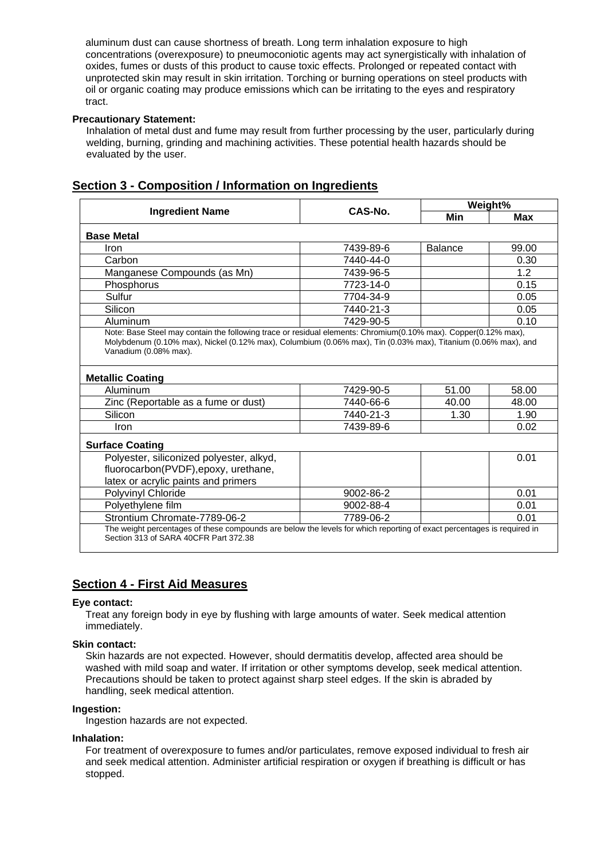aluminum dust can cause shortness of breath. Long term inhalation exposure to high concentrations (overexposure) to pneumoconiotic agents may act synergistically with inhalation of oxides, fumes or dusts of this product to cause toxic effects. Prolonged or repeated contact with unprotected skin may result in skin irritation. Torching or burning operations on steel products with oil or organic coating may produce emissions which can be irritating to the eyes and respiratory tract.

## **Precautionary Statement:**

Inhalation of metal dust and fume may result from further processing by the user, particularly during welding, burning, grinding and machining activities. These potential health hazards should be evaluated by the user.

|                                                                                                                                                                 | CAS-No.   |                | Weight%    |  |
|-----------------------------------------------------------------------------------------------------------------------------------------------------------------|-----------|----------------|------------|--|
| <b>Ingredient Name</b>                                                                                                                                          |           | Min            | <b>Max</b> |  |
| <b>Base Metal</b>                                                                                                                                               |           |                |            |  |
| Iron                                                                                                                                                            | 7439-89-6 | <b>Balance</b> | 99.00      |  |
| Carbon                                                                                                                                                          | 7440-44-0 |                | 0.30       |  |
| Manganese Compounds (as Mn)                                                                                                                                     | 7439-96-5 |                | 1.2        |  |
| Phosphorus                                                                                                                                                      | 7723-14-0 |                | 0.15       |  |
| Sulfur                                                                                                                                                          | 7704-34-9 |                | 0.05       |  |
| Silicon                                                                                                                                                         | 7440-21-3 |                | 0.05       |  |
| Aluminum                                                                                                                                                        | 7429-90-5 |                | 0.10       |  |
| <b>Metallic Coating</b>                                                                                                                                         |           |                |            |  |
| Aluminum                                                                                                                                                        | 7429-90-5 | 51.00          | 58.00      |  |
| Zinc (Reportable as a fume or dust)                                                                                                                             | 7440-66-6 | 40.00          | 48.00      |  |
| Silicon                                                                                                                                                         | 7440-21-3 | 1.30           | 1.90       |  |
| Iron                                                                                                                                                            | 7439-89-6 |                | 0.02       |  |
| <b>Surface Coating</b>                                                                                                                                          |           |                |            |  |
| Polyester, siliconized polyester, alkyd,<br>fluorocarbon(PVDF), epoxy, urethane,<br>latex or acrylic paints and primers                                         |           |                | 0.01       |  |
| Polyvinyl Chloride                                                                                                                                              | 9002-86-2 |                | 0.01       |  |
| Polyethylene film                                                                                                                                               | 9002-88-4 |                | 0.01       |  |
| Strontium Chromate-7789-06-2                                                                                                                                    | 7789-06-2 |                | 0.01       |  |
| The weight percentages of these compounds are below the levels for which reporting of exact percentages is required in<br>Section 313 of SARA 40CFR Part 372.38 |           |                |            |  |

## **Section 3 - Composition / Information on Ingredients**

## **Section 4 - First Aid Measures**

## **Eye contact:**

Treat any foreign body in eye by flushing with large amounts of water. Seek medical attention immediately.

## **Skin contact:**

Skin hazards are not expected. However, should dermatitis develop, affected area should be washed with mild soap and water. If irritation or other symptoms develop, seek medical attention. Precautions should be taken to protect against sharp steel edges. If the skin is abraded by handling, seek medical attention.

## **Ingestion:**

Ingestion hazards are not expected.

## **Inhalation:**

For treatment of overexposure to fumes and/or particulates, remove exposed individual to fresh air and seek medical attention. Administer artificial respiration or oxygen if breathing is difficult or has stopped.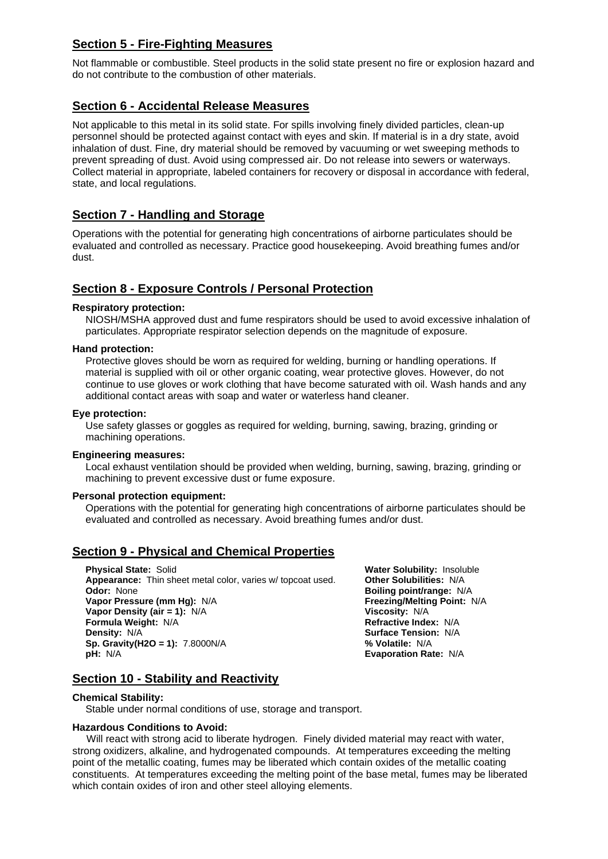## **Section 5 - Fire-Fighting Measures**

Not flammable or combustible. Steel products in the solid state present no fire or explosion hazard and do not contribute to the combustion of other materials.

## **Section 6 - Accidental Release Measures**

Not applicable to this metal in its solid state. For spills involving finely divided particles, clean-up personnel should be protected against contact with eyes and skin. If material is in a dry state, avoid inhalation of dust. Fine, dry material should be removed by vacuuming or wet sweeping methods to prevent spreading of dust. Avoid using compressed air. Do not release into sewers or waterways. Collect material in appropriate, labeled containers for recovery or disposal in accordance with federal, state, and local regulations.

## **Section 7 - Handling and Storage**

Operations with the potential for generating high concentrations of airborne particulates should be evaluated and controlled as necessary. Practice good housekeeping. Avoid breathing fumes and/or dust.

## **Section 8 - Exposure Controls / Personal Protection**

## **Respiratory protection:**

NIOSH/MSHA approved dust and fume respirators should be used to avoid excessive inhalation of particulates. Appropriate respirator selection depends on the magnitude of exposure.

## **Hand protection:**

Protective gloves should be worn as required for welding, burning or handling operations. If material is supplied with oil or other organic coating, wear protective gloves. However, do not continue to use gloves or work clothing that have become saturated with oil. Wash hands and any additional contact areas with soap and water or waterless hand cleaner.

## **Eye protection:**

Use safety glasses or goggles as required for welding, burning, sawing, brazing, grinding or machining operations.

## **Engineering measures:**

Local exhaust ventilation should be provided when welding, burning, sawing, brazing, grinding or machining to prevent excessive dust or fume exposure.

## **Personal protection equipment:**

Operations with the potential for generating high concentrations of airborne particulates should be evaluated and controlled as necessary. Avoid breathing fumes and/or dust.

## **Section 9 - Physical and Chemical Properties**

**Physical State:** Solid **Alter Solid Cology of Convertisers Water Solubility:** Insoluble **Appearance:** Thin sheet metal color, varies w/ topcoat used. **Other Solubilities:** N/A **Appearance:** Thin sheet metal color, varies w/ topcoat used. **Odor:** None **Vapor Pressure (mm Hg): N/A Vapor Density (air = 1):** N/A **Viscosity: N/A <b>Viscosity:** N/A **Formula Weight:** N/A **Formula Weight:** N/A **Formula Weight: N/A Density:** N/A **Surface Tension:** N/A **Surface Tension:** N/A **Surface Tension:** N/A **Surface Tension:** N/A **Sp. Gravity(H2O = 1):** 7.8000N/A **pH:** N/A

**Boiling point/range: N/A<br>Freezing/Melting Point: N/A Evaporation Rate: N/A** 

## **Section 10 - Stability and Reactivity**

## **Chemical Stability:**

Stable under normal conditions of use, storage and transport.

## **Hazardous Conditions to Avoid:**

 Will react with strong acid to liberate hydrogen. Finely divided material may react with water, strong oxidizers, alkaline, and hydrogenated compounds. At temperatures exceeding the melting point of the metallic coating, fumes may be liberated which contain oxides of the metallic coating constituents. At temperatures exceeding the melting point of the base metal, fumes may be liberated which contain oxides of iron and other steel alloying elements.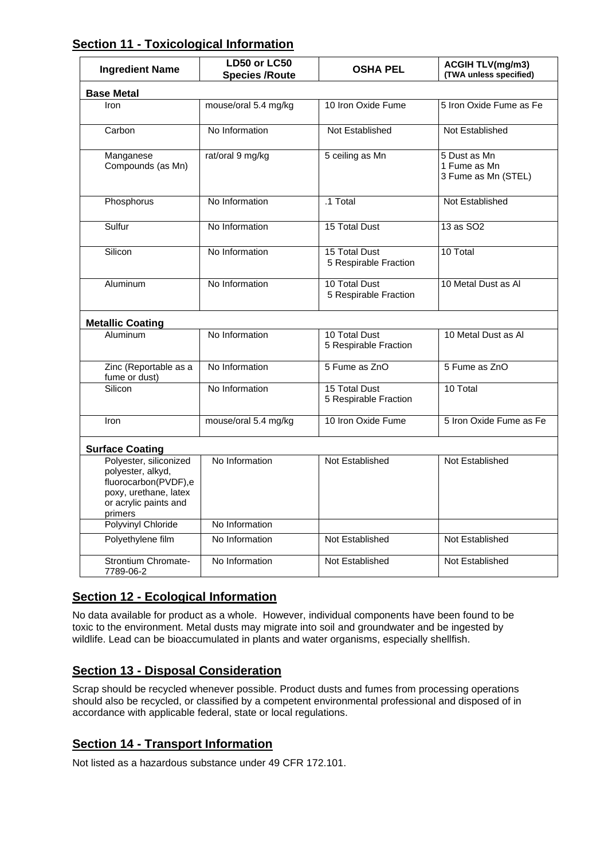## **Section 11 - Toxicological Information**

| <b>Ingredient Name</b>                                                                                                           | LD50 or LC50<br><b>Species /Route</b> | <b>OSHA PEL</b>                        | <b>ACGIH TLV(mg/m3)</b><br>(TWA unless specified)   |  |  |  |
|----------------------------------------------------------------------------------------------------------------------------------|---------------------------------------|----------------------------------------|-----------------------------------------------------|--|--|--|
| <b>Base Metal</b>                                                                                                                |                                       |                                        |                                                     |  |  |  |
| Iron                                                                                                                             | mouse/oral 5.4 mg/kg                  | 10 Iron Oxide Fume                     | 5 Iron Oxide Fume as Fe                             |  |  |  |
| Carbon                                                                                                                           | No Information                        | Not Established                        | Not Established                                     |  |  |  |
| Manganese<br>Compounds (as Mn)                                                                                                   | rat/oral 9 mg/kg                      | 5 ceiling as Mn                        | 5 Dust as Mn<br>1 Fume as Mn<br>3 Fume as Mn (STEL) |  |  |  |
| Phosphorus                                                                                                                       | No Information                        | .1 Total                               | <b>Not Established</b>                              |  |  |  |
| Sulfur                                                                                                                           | No Information                        | 15 Total Dust                          | 13 as SO2                                           |  |  |  |
| Silicon                                                                                                                          | No Information                        | 15 Total Dust<br>5 Respirable Fraction | 10 Total                                            |  |  |  |
| Aluminum                                                                                                                         | No Information                        | 10 Total Dust<br>5 Respirable Fraction | 10 Metal Dust as Al                                 |  |  |  |
| <b>Metallic Coating</b>                                                                                                          |                                       |                                        |                                                     |  |  |  |
| Aluminum                                                                                                                         | No Information                        | 10 Total Dust<br>5 Respirable Fraction | 10 Metal Dust as Al                                 |  |  |  |
| Zinc (Reportable as a<br>fume or dust)                                                                                           | No Information                        | 5 Fume as ZnO                          | 5 Fume as ZnO                                       |  |  |  |
| Silicon                                                                                                                          | No Information                        | 15 Total Dust<br>5 Respirable Fraction | 10 Total                                            |  |  |  |
| Iron                                                                                                                             | mouse/oral 5.4 mg/kg                  | 10 Iron Oxide Fume                     | 5 Iron Oxide Fume as Fe                             |  |  |  |
| <b>Surface Coating</b>                                                                                                           |                                       |                                        |                                                     |  |  |  |
| Polyester, siliconized<br>polyester, alkyd,<br>fluorocarbon(PVDF),e<br>poxy, urethane, latex<br>or acrylic paints and<br>primers | No Information                        | Not Established                        | Not Established                                     |  |  |  |
| Polyvinyl Chloride                                                                                                               | No Information                        |                                        |                                                     |  |  |  |
| Polyethylene film                                                                                                                | No Information                        | Not Established                        | Not Established                                     |  |  |  |
| <b>Strontium Chromate-</b><br>7789-06-2                                                                                          | No Information                        | Not Established                        | Not Established                                     |  |  |  |

## **Section 12 - Ecological Information**

No data available for product as a whole. However, individual components have been found to be toxic to the environment. Metal dusts may migrate into soil and groundwater and be ingested by wildlife. Lead can be bioaccumulated in plants and water organisms, especially shellfish.

## **Section 13 - Disposal Consideration**

Scrap should be recycled whenever possible. Product dusts and fumes from processing operations should also be recycled, or classified by a competent environmental professional and disposed of in accordance with applicable federal, state or local regulations.

## **Section 14 - Transport Information**

Not listed as a hazardous substance under 49 CFR 172.101.